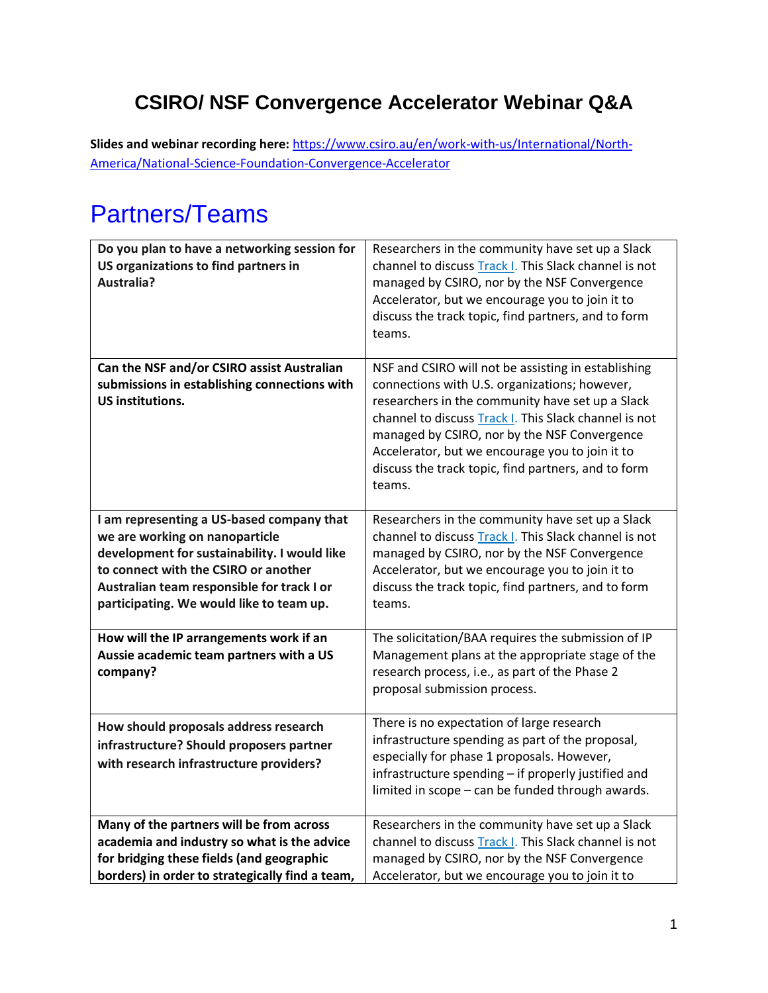#### **CSIRO/ NSF Convergence Accelerator Webinar Q&A**

**Slides and webinar recording here:** [https://www.csiro.au/en/work-with-us/International/North-](https://www.csiro.au/en/work-with-us/International/North-America/National-Science-Foundation-Convergence-Accelerator)[America/National-Science-Foundation-Convergence-Accelerator](https://www.csiro.au/en/work-with-us/International/North-America/National-Science-Foundation-Convergence-Accelerator)

### Partners/Teams

| Do you plan to have a networking session for<br>US organizations to find partners in<br>Australia?                                                                                                                                                            | Researchers in the community have set up a Slack<br>channel to discuss Track I. This Slack channel is not<br>managed by CSIRO, nor by the NSF Convergence<br>Accelerator, but we encourage you to join it to<br>discuss the track topic, find partners, and to form<br>teams.                                                                                                         |
|---------------------------------------------------------------------------------------------------------------------------------------------------------------------------------------------------------------------------------------------------------------|---------------------------------------------------------------------------------------------------------------------------------------------------------------------------------------------------------------------------------------------------------------------------------------------------------------------------------------------------------------------------------------|
| Can the NSF and/or CSIRO assist Australian<br>submissions in establishing connections with<br><b>US institutions.</b>                                                                                                                                         | NSF and CSIRO will not be assisting in establishing<br>connections with U.S. organizations; however,<br>researchers in the community have set up a Slack<br>channel to discuss Track I. This Slack channel is not<br>managed by CSIRO, nor by the NSF Convergence<br>Accelerator, but we encourage you to join it to<br>discuss the track topic, find partners, and to form<br>teams. |
| I am representing a US-based company that<br>we are working on nanoparticle<br>development for sustainability. I would like<br>to connect with the CSIRO or another<br>Australian team responsible for track I or<br>participating. We would like to team up. | Researchers in the community have set up a Slack<br>channel to discuss Track I. This Slack channel is not<br>managed by CSIRO, nor by the NSF Convergence<br>Accelerator, but we encourage you to join it to<br>discuss the track topic, find partners, and to form<br>teams.                                                                                                         |
| How will the IP arrangements work if an<br>Aussie academic team partners with a US<br>company?                                                                                                                                                                | The solicitation/BAA requires the submission of IP<br>Management plans at the appropriate stage of the<br>research process, i.e., as part of the Phase 2<br>proposal submission process.                                                                                                                                                                                              |
| How should proposals address research<br>infrastructure? Should proposers partner<br>with research infrastructure providers?                                                                                                                                  | There is no expectation of large research<br>infrastructure spending as part of the proposal,<br>especially for phase 1 proposals. However,<br>infrastructure spending - if properly justified and<br>limited in scope - can be funded through awards.                                                                                                                                |
| Many of the partners will be from across<br>academia and industry so what is the advice<br>for bridging these fields (and geographic<br>borders) in order to strategically find a team,                                                                       | Researchers in the community have set up a Slack<br>channel to discuss Track I. This Slack channel is not<br>managed by CSIRO, nor by the NSF Convergence<br>Accelerator, but we encourage you to join it to                                                                                                                                                                          |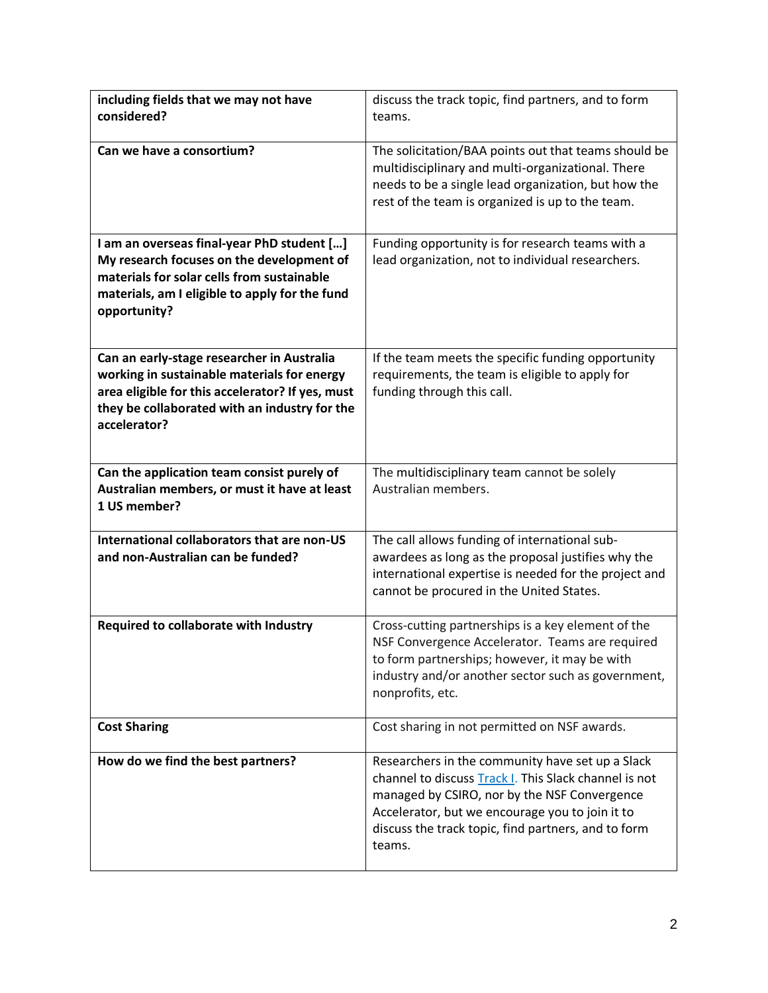| including fields that we may not have                                                                             | discuss the track topic, find partners, and to form                                                                                                                                                                                                                           |
|-------------------------------------------------------------------------------------------------------------------|-------------------------------------------------------------------------------------------------------------------------------------------------------------------------------------------------------------------------------------------------------------------------------|
| considered?                                                                                                       | teams.                                                                                                                                                                                                                                                                        |
| Can we have a consortium?                                                                                         | The solicitation/BAA points out that teams should be<br>multidisciplinary and multi-organizational. There<br>needs to be a single lead organization, but how the<br>rest of the team is organized is up to the team.                                                          |
| I am an overseas final-year PhD student []                                                                        | Funding opportunity is for research teams with a                                                                                                                                                                                                                              |
| My research focuses on the development of<br>materials for solar cells from sustainable                           | lead organization, not to individual researchers.                                                                                                                                                                                                                             |
| materials, am I eligible to apply for the fund<br>opportunity?                                                    |                                                                                                                                                                                                                                                                               |
| Can an early-stage researcher in Australia                                                                        | If the team meets the specific funding opportunity                                                                                                                                                                                                                            |
| working in sustainable materials for energy                                                                       | requirements, the team is eligible to apply for                                                                                                                                                                                                                               |
| area eligible for this accelerator? If yes, must<br>they be collaborated with an industry for the<br>accelerator? | funding through this call.                                                                                                                                                                                                                                                    |
| Can the application team consist purely of                                                                        | The multidisciplinary team cannot be solely                                                                                                                                                                                                                                   |
| Australian members, or must it have at least<br>1 US member?                                                      | Australian members.                                                                                                                                                                                                                                                           |
| International collaborators that are non-US                                                                       | The call allows funding of international sub-                                                                                                                                                                                                                                 |
| and non-Australian can be funded?                                                                                 | awardees as long as the proposal justifies why the<br>international expertise is needed for the project and<br>cannot be procured in the United States.                                                                                                                       |
| Required to collaborate with Industry                                                                             | Cross-cutting partnerships is a key element of the                                                                                                                                                                                                                            |
|                                                                                                                   | NSF Convergence Accelerator. Teams are required<br>to form partnerships; however, it may be with<br>industry and/or another sector such as government,<br>nonprofits, etc.                                                                                                    |
| <b>Cost Sharing</b>                                                                                               | Cost sharing in not permitted on NSF awards.                                                                                                                                                                                                                                  |
| How do we find the best partners?                                                                                 | Researchers in the community have set up a Slack<br>channel to discuss Track I. This Slack channel is not<br>managed by CSIRO, nor by the NSF Convergence<br>Accelerator, but we encourage you to join it to<br>discuss the track topic, find partners, and to form<br>teams. |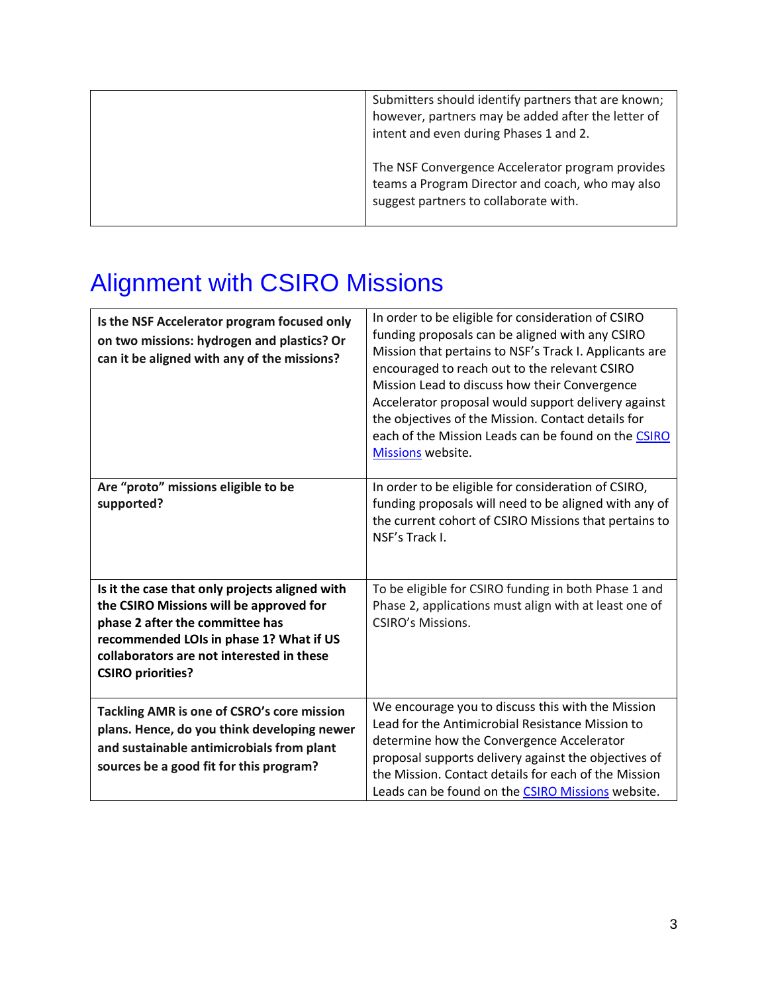| Submitters should identify partners that are known;<br>however, partners may be added after the letter of<br>intent and even during Phases 1 and 2. |
|-----------------------------------------------------------------------------------------------------------------------------------------------------|
| The NSF Convergence Accelerator program provides<br>teams a Program Director and coach, who may also<br>suggest partners to collaborate with.       |

# Alignment with CSIRO Missions

| Is the NSF Accelerator program focused only<br>on two missions: hydrogen and plastics? Or<br>can it be aligned with any of the missions?                                                                                                         | In order to be eligible for consideration of CSIRO<br>funding proposals can be aligned with any CSIRO<br>Mission that pertains to NSF's Track I. Applicants are<br>encouraged to reach out to the relevant CSIRO<br>Mission Lead to discuss how their Convergence<br>Accelerator proposal would support delivery against<br>the objectives of the Mission. Contact details for<br>each of the Mission Leads can be found on the CSIRO<br>Missions website. |
|--------------------------------------------------------------------------------------------------------------------------------------------------------------------------------------------------------------------------------------------------|------------------------------------------------------------------------------------------------------------------------------------------------------------------------------------------------------------------------------------------------------------------------------------------------------------------------------------------------------------------------------------------------------------------------------------------------------------|
| Are "proto" missions eligible to be<br>supported?                                                                                                                                                                                                | In order to be eligible for consideration of CSIRO,<br>funding proposals will need to be aligned with any of<br>the current cohort of CSIRO Missions that pertains to<br>NSF's Track I.                                                                                                                                                                                                                                                                    |
| Is it the case that only projects aligned with<br>the CSIRO Missions will be approved for<br>phase 2 after the committee has<br>recommended LOIs in phase 1? What if US<br>collaborators are not interested in these<br><b>CSIRO priorities?</b> | To be eligible for CSIRO funding in both Phase 1 and<br>Phase 2, applications must align with at least one of<br><b>CSIRO's Missions.</b>                                                                                                                                                                                                                                                                                                                  |
| Tackling AMR is one of CSRO's core mission<br>plans. Hence, do you think developing newer<br>and sustainable antimicrobials from plant<br>sources be a good fit for this program?                                                                | We encourage you to discuss this with the Mission<br>Lead for the Antimicrobial Resistance Mission to<br>determine how the Convergence Accelerator<br>proposal supports delivery against the objectives of<br>the Mission. Contact details for each of the Mission<br>Leads can be found on the CSIRO Missions website.                                                                                                                                    |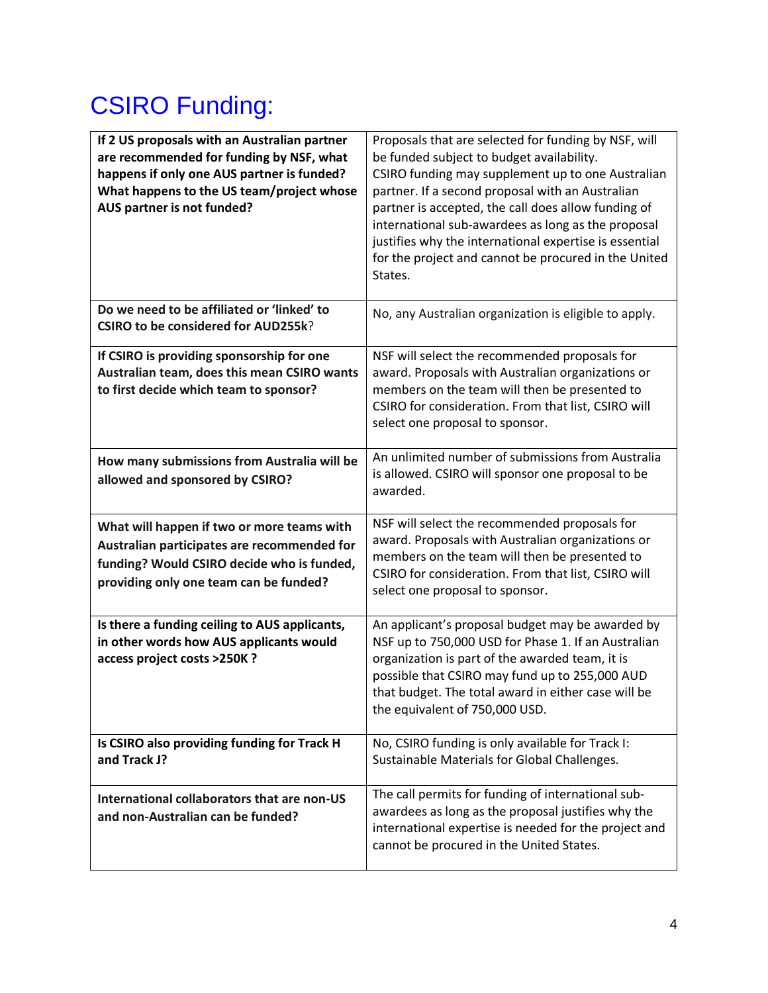## CSIRO Funding:

| If 2 US proposals with an Australian partner<br>are recommended for funding by NSF, what<br>happens if only one AUS partner is funded?<br>What happens to the US team/project whose<br>AUS partner is not funded? | Proposals that are selected for funding by NSF, will<br>be funded subject to budget availability.<br>CSIRO funding may supplement up to one Australian<br>partner. If a second proposal with an Australian<br>partner is accepted, the call does allow funding of<br>international sub-awardees as long as the proposal<br>justifies why the international expertise is essential<br>for the project and cannot be procured in the United<br>States. |
|-------------------------------------------------------------------------------------------------------------------------------------------------------------------------------------------------------------------|------------------------------------------------------------------------------------------------------------------------------------------------------------------------------------------------------------------------------------------------------------------------------------------------------------------------------------------------------------------------------------------------------------------------------------------------------|
| Do we need to be affiliated or 'linked' to<br><b>CSIRO to be considered for AUD255k?</b>                                                                                                                          | No, any Australian organization is eligible to apply.                                                                                                                                                                                                                                                                                                                                                                                                |
| If CSIRO is providing sponsorship for one<br>Australian team, does this mean CSIRO wants<br>to first decide which team to sponsor?                                                                                | NSF will select the recommended proposals for<br>award. Proposals with Australian organizations or<br>members on the team will then be presented to<br>CSIRO for consideration. From that list, CSIRO will<br>select one proposal to sponsor.                                                                                                                                                                                                        |
| How many submissions from Australia will be<br>allowed and sponsored by CSIRO?                                                                                                                                    | An unlimited number of submissions from Australia<br>is allowed. CSIRO will sponsor one proposal to be<br>awarded.                                                                                                                                                                                                                                                                                                                                   |
| What will happen if two or more teams with<br>Australian participates are recommended for<br>funding? Would CSIRO decide who is funded,<br>providing only one team can be funded?                                 | NSF will select the recommended proposals for<br>award. Proposals with Australian organizations or<br>members on the team will then be presented to<br>CSIRO for consideration. From that list, CSIRO will<br>select one proposal to sponsor.                                                                                                                                                                                                        |
| Is there a funding ceiling to AUS applicants,<br>in other words how AUS applicants would<br>access project costs >250K ?                                                                                          | An applicant's proposal budget may be awarded by<br>NSF up to 750,000 USD for Phase 1. If an Australian<br>organization is part of the awarded team, it is<br>possible that CSIRO may fund up to 255,000 AUD<br>that budget. The total award in either case will be<br>the equivalent of 750,000 USD.                                                                                                                                                |
| Is CSIRO also providing funding for Track H<br>and Track J?                                                                                                                                                       | No, CSIRO funding is only available for Track I:<br>Sustainable Materials for Global Challenges.                                                                                                                                                                                                                                                                                                                                                     |
| International collaborators that are non-US<br>and non-Australian can be funded?                                                                                                                                  | The call permits for funding of international sub-<br>awardees as long as the proposal justifies why the<br>international expertise is needed for the project and<br>cannot be procured in the United States.                                                                                                                                                                                                                                        |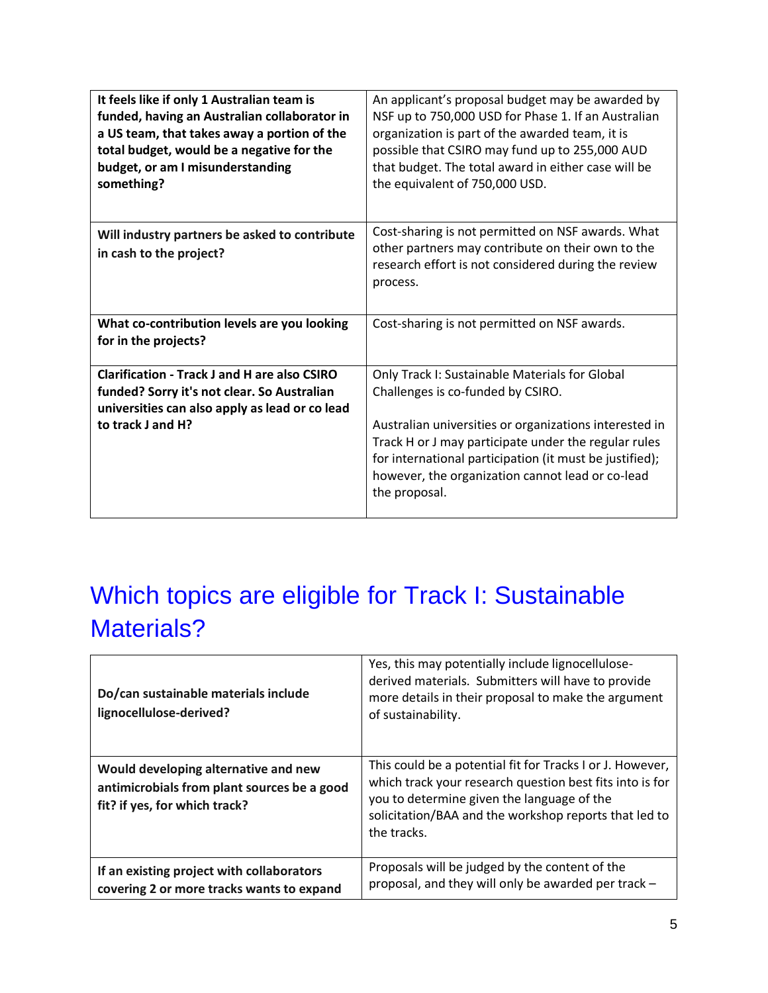| It feels like if only 1 Australian team is<br>funded, having an Australian collaborator in<br>a US team, that takes away a portion of the<br>total budget, would be a negative for the<br>budget, or am I misunderstanding | An applicant's proposal budget may be awarded by<br>NSF up to 750,000 USD for Phase 1. If an Australian<br>organization is part of the awarded team, it is<br>possible that CSIRO may fund up to 255,000 AUD<br>that budget. The total award in either case will be                                                                   |
|----------------------------------------------------------------------------------------------------------------------------------------------------------------------------------------------------------------------------|---------------------------------------------------------------------------------------------------------------------------------------------------------------------------------------------------------------------------------------------------------------------------------------------------------------------------------------|
| something?                                                                                                                                                                                                                 | the equivalent of 750,000 USD.                                                                                                                                                                                                                                                                                                        |
| Will industry partners be asked to contribute<br>in cash to the project?                                                                                                                                                   | Cost-sharing is not permitted on NSF awards. What<br>other partners may contribute on their own to the<br>research effort is not considered during the review<br>process.                                                                                                                                                             |
| What co-contribution levels are you looking<br>for in the projects?                                                                                                                                                        | Cost-sharing is not permitted on NSF awards.                                                                                                                                                                                                                                                                                          |
| <b>Clarification - Track J and H are also CSIRO</b><br>funded? Sorry it's not clear. So Australian<br>universities can also apply as lead or co lead<br>to track J and H?                                                  | Only Track I: Sustainable Materials for Global<br>Challenges is co-funded by CSIRO.<br>Australian universities or organizations interested in<br>Track H or J may participate under the regular rules<br>for international participation (it must be justified);<br>however, the organization cannot lead or co-lead<br>the proposal. |

## Which topics are eligible for Track I: Sustainable Materials?

| Do/can sustainable materials include<br>lignocellulose-derived?                                                      | Yes, this may potentially include lignocellulose-<br>derived materials. Submitters will have to provide<br>more details in their proposal to make the argument<br>of sustainability.                                                        |
|----------------------------------------------------------------------------------------------------------------------|---------------------------------------------------------------------------------------------------------------------------------------------------------------------------------------------------------------------------------------------|
| Would developing alternative and new<br>antimicrobials from plant sources be a good<br>fit? if yes, for which track? | This could be a potential fit for Tracks I or J. However,<br>which track your research question best fits into is for<br>you to determine given the language of the<br>solicitation/BAA and the workshop reports that led to<br>the tracks. |
| If an existing project with collaborators<br>covering 2 or more tracks wants to expand                               | Proposals will be judged by the content of the<br>proposal, and they will only be awarded per track -                                                                                                                                       |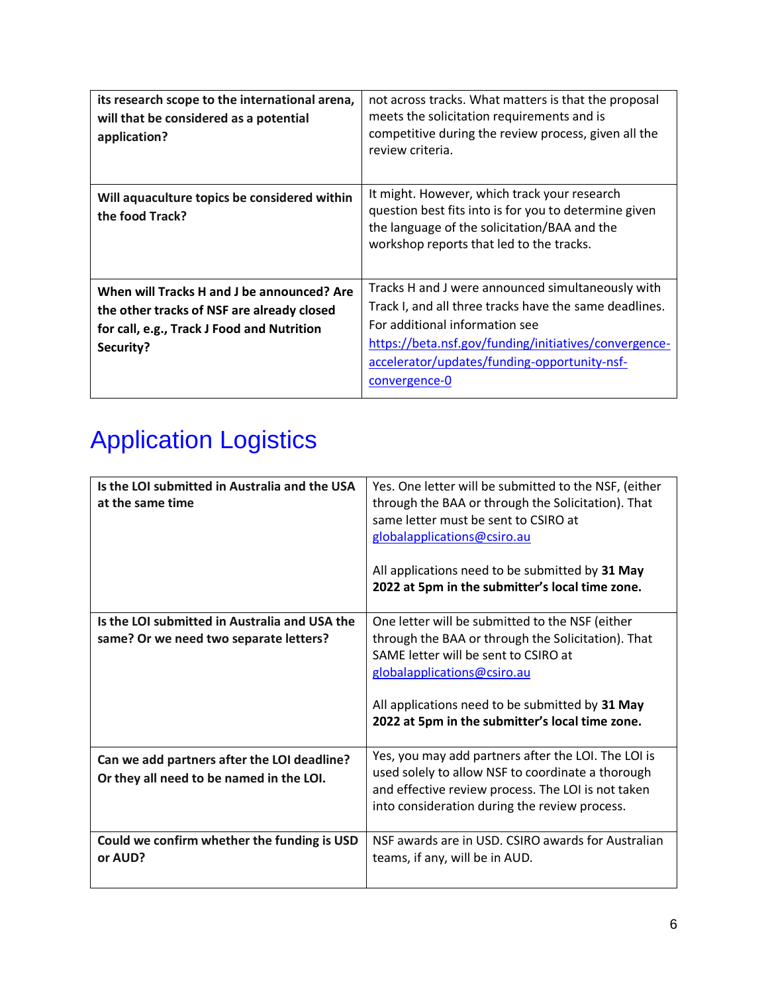| its research scope to the international arena,<br>will that be considered as a potential<br>application?                                            | not across tracks. What matters is that the proposal<br>meets the solicitation requirements and is<br>competitive during the review process, given all the<br>review criteria.                                                                                          |
|-----------------------------------------------------------------------------------------------------------------------------------------------------|-------------------------------------------------------------------------------------------------------------------------------------------------------------------------------------------------------------------------------------------------------------------------|
| Will aquaculture topics be considered within<br>the food Track?                                                                                     | It might. However, which track your research<br>question best fits into is for you to determine given<br>the language of the solicitation/BAA and the<br>workshop reports that led to the tracks.                                                                       |
| When will Tracks H and J be announced? Are<br>the other tracks of NSF are already closed<br>for call, e.g., Track J Food and Nutrition<br>Security? | Tracks H and J were announced simultaneously with<br>Track I, and all three tracks have the same deadlines.<br>For additional information see<br>https://beta.nsf.gov/funding/initiatives/convergence-<br>accelerator/updates/funding-opportunity-nsf-<br>convergence-0 |

# Application Logistics

| Is the LOI submitted in Australia and the USA<br>at the same time                       | Yes. One letter will be submitted to the NSF, (either<br>through the BAA or through the Solicitation). That<br>same letter must be sent to CSIRO at<br>globalapplications@csiro.au<br>All applications need to be submitted by 31 May<br>2022 at 5pm in the submitter's local time zone. |
|-----------------------------------------------------------------------------------------|------------------------------------------------------------------------------------------------------------------------------------------------------------------------------------------------------------------------------------------------------------------------------------------|
| Is the LOI submitted in Australia and USA the<br>same? Or we need two separate letters? | One letter will be submitted to the NSF (either<br>through the BAA or through the Solicitation). That<br>SAME letter will be sent to CSIRO at<br>globalapplications@csiro.au<br>All applications need to be submitted by 31 May<br>2022 at 5pm in the submitter's local time zone.       |
| Can we add partners after the LOI deadline?<br>Or they all need to be named in the LOI. | Yes, you may add partners after the LOI. The LOI is<br>used solely to allow NSF to coordinate a thorough<br>and effective review process. The LOI is not taken<br>into consideration during the review process.                                                                          |
| Could we confirm whether the funding is USD<br>or AUD?                                  | NSF awards are in USD. CSIRO awards for Australian<br>teams, if any, will be in AUD.                                                                                                                                                                                                     |